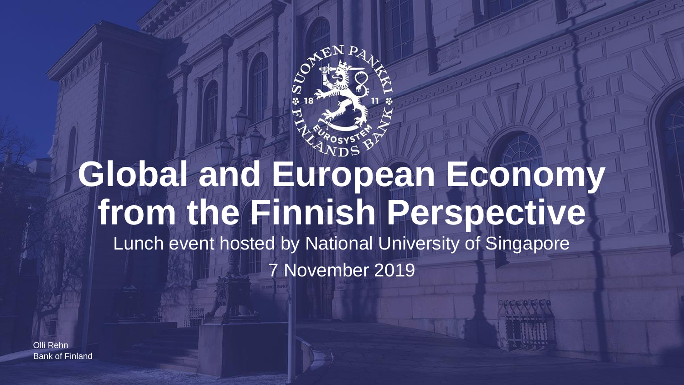

# **Global and European Economy from the Finnish Perspective** Lunch event hosted by National University of Singapore 7 November 2019

Bank of Finland Olli Rehn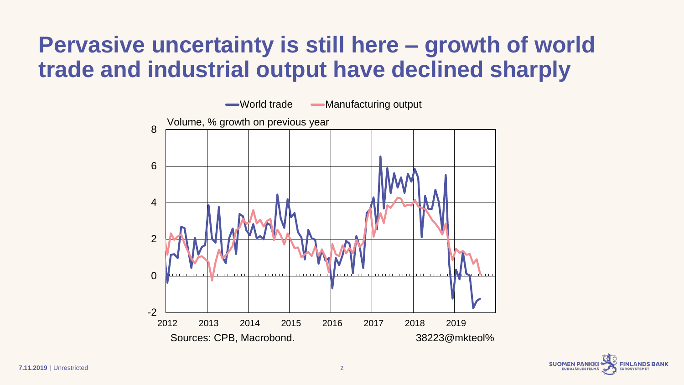# **Pervasive uncertainty is still here – growth of world trade and industrial output have declined sharply**



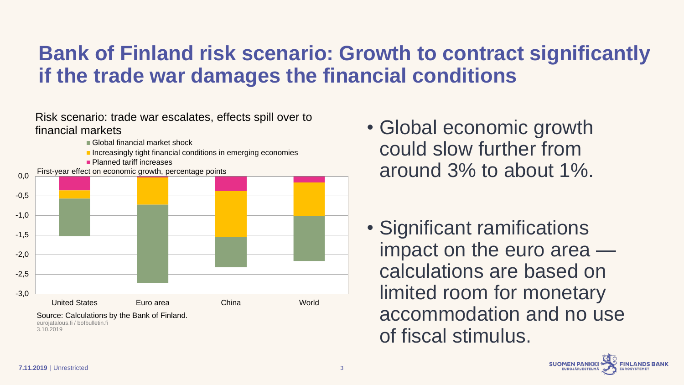#### **Bank of Finland risk scenario: Growth to contract significantly if the trade war damages the financial conditions**

-3,0 -2,5 -2,0 -1,5 -1,0 -0,5 0,0 United States Euro area China World ■ Global financial market shock **Increasingly tight financial conditions in emerging economies Planned tariff increases** First-year effect on economic growth, percentage points Source: Calculations by the Bank of Finland. eurojatalous.fi / bofbulletin.fi 3.10.2019 Risk scenario: trade war escalates, effects spill over to financial markets

- Global economic growth could slow further from around 3% to about 1%.
- Significant ramifications impact on the euro area calculations are based on limited room for monetary accommodation and no use of fiscal stimulus.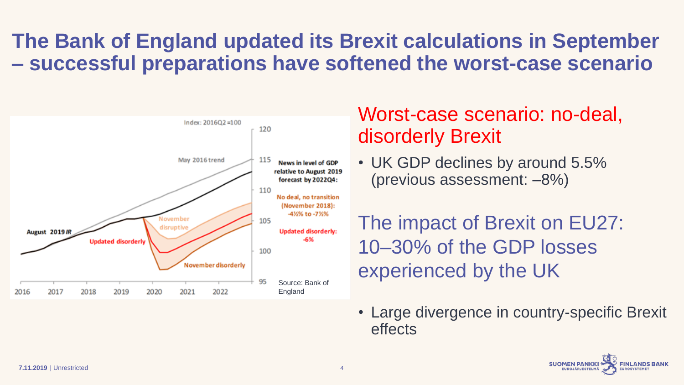### **The Bank of England updated its Brexit calculations in September – successful preparations have softened the worst-case scenario**



#### Worst-case scenario: no-deal, disorderly Brexit

• UK GDP declines by around 5.5% (previous assessment: –8%)

The impact of Brexit on EU27: 10–30% of the GDP losses experienced by the UK

• Large divergence in country-specific Brexit effects

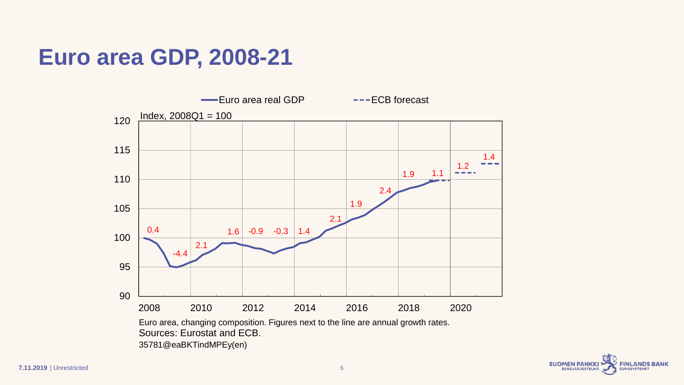### **Euro area GDP, 2008-21**





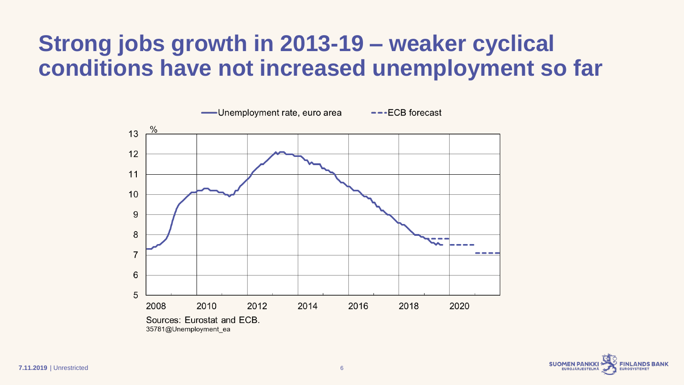# **Strong jobs growth in 2013-19 – weaker cyclical conditions have not increased unemployment so far**



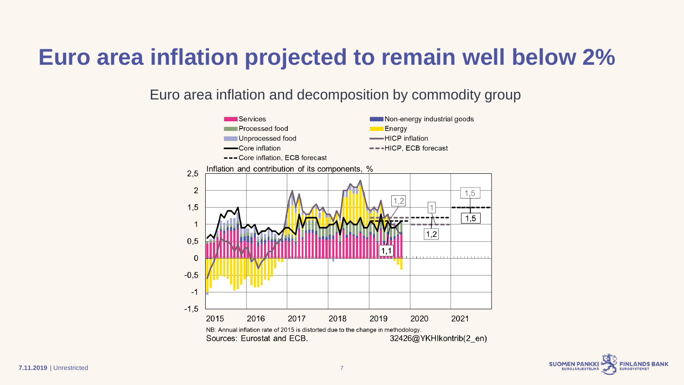### **Euro area inflation projected to remain well below 2%**

Euro area inflation and decomposition by commodity group



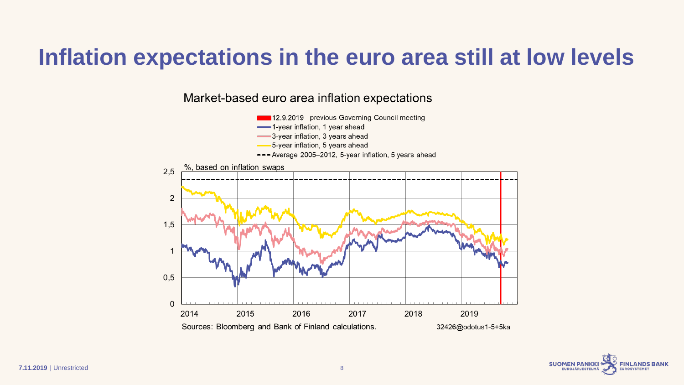### **Inflation expectations in the euro area still at low levels**

Market-based euro area inflation expectations



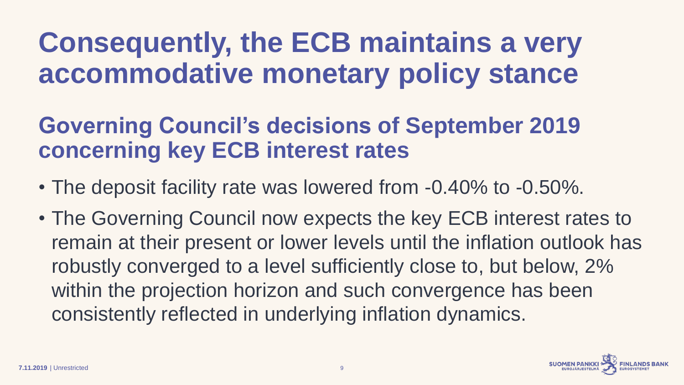# **Consequently, the ECB maintains a very accommodative monetary policy stance**

### **Governing Council's decisions of September 2019 concerning key ECB interest rates**

- The deposit facility rate was lowered from -0.40% to -0.50%.
- The Governing Council now expects the key ECB interest rates to remain at their present or lower levels until the inflation outlook has robustly converged to a level sufficiently close to, but below, 2% within the projection horizon and such convergence has been consistently reflected in underlying inflation dynamics.

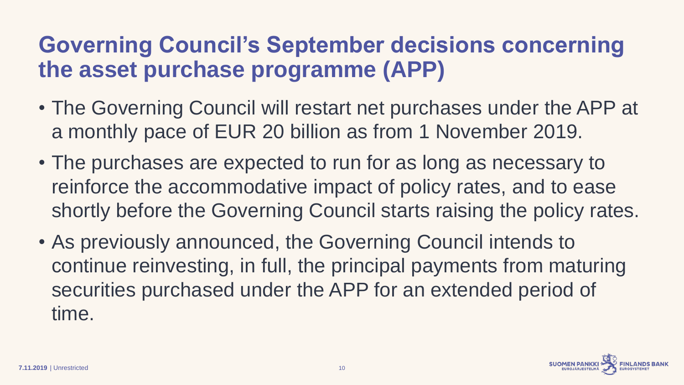# **Governing Council's September decisions concerning the asset purchase programme (APP)**

- The Governing Council will restart net purchases under the APP at a monthly pace of EUR 20 billion as from 1 November 2019.
- The purchases are expected to run for as long as necessary to reinforce the accommodative impact of policy rates, and to ease shortly before the Governing Council starts raising the policy rates.
- As previously announced, the Governing Council intends to continue reinvesting, in full, the principal payments from maturing securities purchased under the APP for an extended period of time.

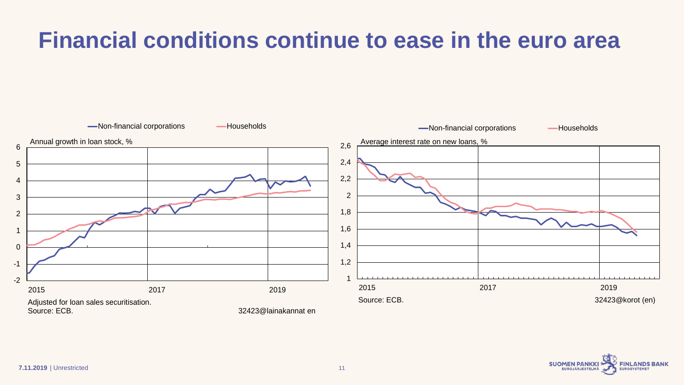# **Financial conditions continue to ease in the euro area**



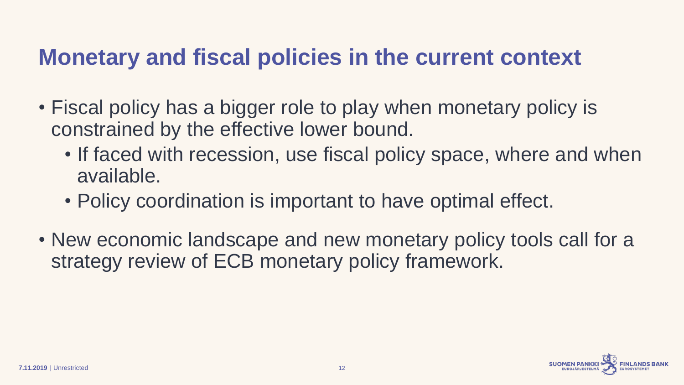### **Monetary and fiscal policies in the current context**

- Fiscal policy has a bigger role to play when monetary policy is constrained by the effective lower bound.
	- If faced with recession, use fiscal policy space, where and when available.
	- Policy coordination is important to have optimal effect.
- New economic landscape and new monetary policy tools call for a strategy review of ECB monetary policy framework.

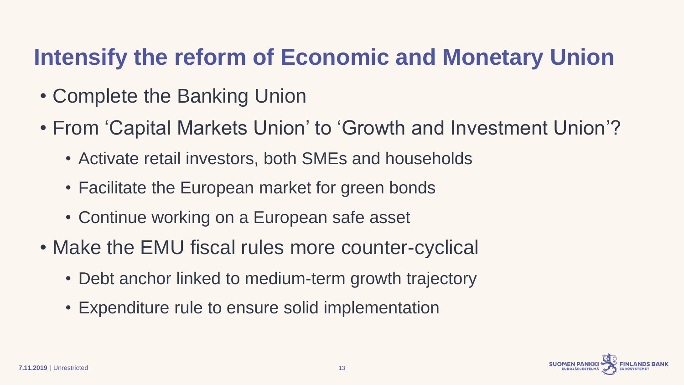# **Intensify the reform of Economic and Monetary Union**

- Complete the Banking Union
- From 'Capital Markets Union' to 'Growth and Investment Union'?
	- Activate retail investors, both SMEs and households
	- Facilitate the European market for green bonds
	- Continue working on a European safe asset
- Make the EMU fiscal rules more counter-cyclical
	- Debt anchor linked to medium-term growth trajectory
	- Expenditure rule to ensure solid implementation

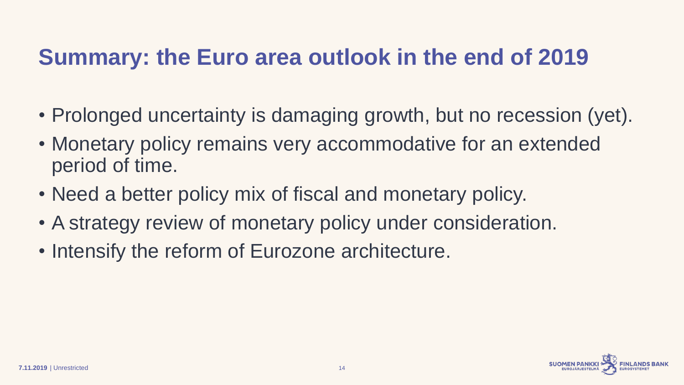# **Summary: the Euro area outlook in the end of 2019**

- Prolonged uncertainty is damaging growth, but no recession (yet).
- Monetary policy remains very accommodative for an extended period of time.
- Need a better policy mix of fiscal and monetary policy.
- A strategy review of monetary policy under consideration.
- Intensify the reform of Eurozone architecture.